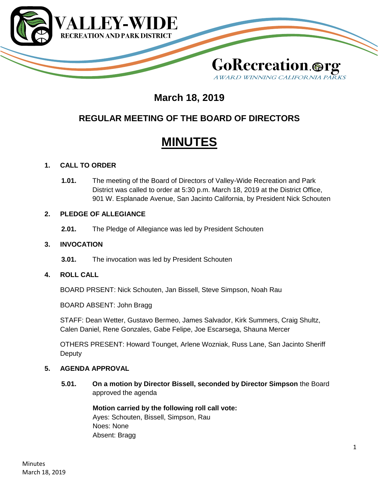

# **March 18, 2019**

# **REGULAR MEETING OF THE BOARD OF DIRECTORS**

# **MINUTES**

# **1. CALL TO ORDER**

**1.01.** The meeting of the Board of Directors of Valley-Wide Recreation and Park District was called to order at 5:30 p.m. March 18, 2019 at the District Office, 901 W. Esplanade Avenue, San Jacinto California, by President Nick Schouten

# **2. PLEDGE OF ALLEGIANCE**

**2.01.** The Pledge of Allegiance was led by President Schouten

# **3. INVOCATION**

**3.01.** The invocation was led by President Schouten

# **4. ROLL CALL**

BOARD PRSENT: Nick Schouten, Jan Bissell, Steve Simpson, Noah Rau

BOARD ABSENT: John Bragg

STAFF: Dean Wetter, Gustavo Bermeo, James Salvador, Kirk Summers, Craig Shultz, Calen Daniel, Rene Gonzales, Gabe Felipe, Joe Escarsega, Shauna Mercer

OTHERS PRESENT: Howard Tounget, Arlene Wozniak, Russ Lane, San Jacinto Sheriff **Deputy** 

# **5. AGENDA APPROVAL**

**5.01. On a motion by Director Bissell, seconded by Director Simpson** the Board approved the agenda

# **Motion carried by the following roll call vote:**

Ayes: Schouten, Bissell, Simpson, Rau Noes: None Absent: Bragg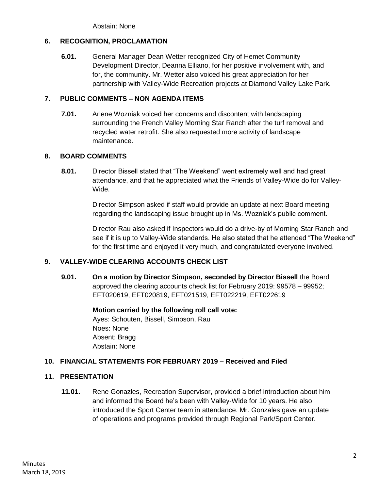Abstain: None

# **6. RECOGNITION, PROCLAMATION**

**6.01.** General Manager Dean Wetter recognized City of Hemet Community Development Director, Deanna Elliano, for her positive involvement with, and for, the community. Mr. Wetter also voiced his great appreciation for her partnership with Valley-Wide Recreation projects at Diamond Valley Lake Park.

# **7. PUBLIC COMMENTS – NON AGENDA ITEMS**

**7.01.** Arlene Wozniak voiced her concerns and discontent with landscaping surrounding the French Valley Morning Star Ranch after the turf removal and recycled water retrofit. She also requested more activity of landscape maintenance.

# **8. BOARD COMMENTS**

**8.01.** Director Bissell stated that "The Weekend" went extremely well and had great attendance, and that he appreciated what the Friends of Valley-Wide do for Valley-Wide.

> Director Simpson asked if staff would provide an update at next Board meeting regarding the landscaping issue brought up in Ms. Wozniak's public comment.

Director Rau also asked if Inspectors would do a drive-by of Morning Star Ranch and see if it is up to Valley-Wide standards. He also stated that he attended "The Weekend" for the first time and enjoyed it very much, and congratulated everyone involved.

# **9. VALLEY-WIDE CLEARING ACCOUNTS CHECK LIST**

**9.01. On a motion by Director Simpson, seconded by Director Bissell** the Board approved the clearing accounts check list for February 2019: 99578 – 99952; EFT020619, EFT020819, EFT021519, EFT022219, EFT022619

> **Motion carried by the following roll call vote:** Ayes: Schouten, Bissell, Simpson, Rau Noes: None Absent: Bragg Abstain: None

# **10. FINANCIAL STATEMENTS FOR FEBRUARY 2019 – Received and Filed**

# **11. PRESENTATION**

**11.01.** Rene Gonazles, Recreation Supervisor, provided a brief introduction about him and informed the Board he's been with Valley-Wide for 10 years. He also introduced the Sport Center team in attendance. Mr. Gonzales gave an update of operations and programs provided through Regional Park/Sport Center.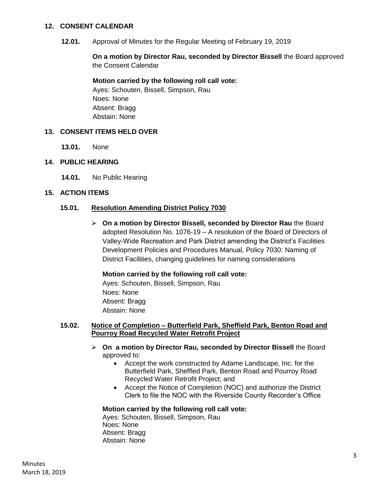#### **12. CONSENT CALENDAR**

**12.01.** Approval of Minutes for the Regular Meeting of February 19, 2019

**On a motion by Director Rau, seconded by Director Bissell** the Board approved the Consent Calendar

# **Motion carried by the following roll call vote:**

Ayes: Schouten, Bissell, Simpson, Rau Noes: None Absent: Bragg Abstain: None

# **13. CONSENT ITEMS HELD OVER**

**13.01.** None

#### **14. PUBLIC HEARING**

**14.01.** No Public Hearing

#### **15. ACTION ITEMS**

#### **15.01. Resolution Amending District Policy 7030**

 **On a motion by Director Bissell, seconded by Director Rau** the Board adopted Resolution No. 1076-19 – A resolution of the Board of Directors of Valley-Wide Recreation and Park District amending the District's Facilities Development Policies and Procedures Manual, Policy 7030: Naming of District Facilities, changing guidelines for naming considerations

#### **Motion carried by the following roll call vote:**

Ayes: Schouten, Bissell, Simpson, Rau Noes: None Absent: Bragg Abstain: None

#### **15.02. Notice of Completion – Butterfield Park, Sheffield Park, Benton Road and Pourroy Road Recycled Water Retrofit Project**

- **On a motion by Director Rau, seconded by Director Bissell** the Board approved to:
	- Accept the work constructed by Adame Landscape, Inc. for the Butterfield Park, Sheffled Park, Benton Road and Pourroy Road Recycled Water Retrofit Project; and
	- Accept the Notice of Completion (NOC) and authorize the District Clerk to file the NOC with the Riverside County Recorder's Office

# **Motion carried by the following roll call vote:**

Ayes: Schouten, Bissell, Simpson, Rau Noes: None Absent: Bragg Abstain: None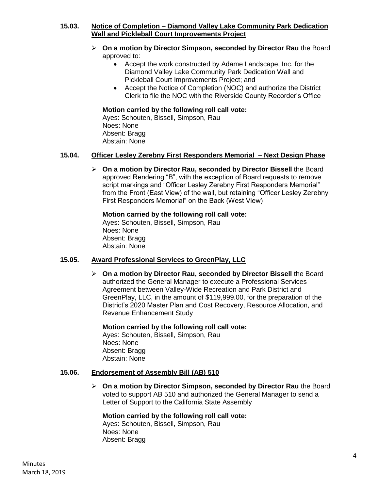# **15.03. Notice of Completion – Diamond Valley Lake Community Park Dedication Wall and Pickleball Court Improvements Project**

- **On a motion by Director Simpson, seconded by Director Rau** the Board approved to:
	- Accept the work constructed by Adame Landscape, Inc. for the Diamond Valley Lake Community Park Dedication Wall and Pickleball Court Improvements Project; and
	- Accept the Notice of Completion (NOC) and authorize the District Clerk to file the NOC with the Riverside County Recorder's Office

# **Motion carried by the following roll call vote:**

Ayes: Schouten, Bissell, Simpson, Rau Noes: None Absent: Bragg Abstain: None

# **15.04. Officer Lesley Zerebny First Responders Memorial – Next Design Phase**

 **On a motion by Director Rau, seconded by Director Bissell** the Board approved Rendering "B", with the exception of Board requests to remove script markings and "Officer Lesley Zerebny First Responders Memorial" from the Front (East View) of the wall, but retaining "Officer Lesley Zerebny First Responders Memorial" on the Back (West View)

# **Motion carried by the following roll call vote:**

Ayes: Schouten, Bissell, Simpson, Rau Noes: None Absent: Bragg Abstain: None

# **15.05. Award Professional Services to GreenPlay, LLC**

 **On a motion by Director Rau, seconded by Director Bissell** the Board authorized the General Manager to execute a Professional Services Agreement between Valley-Wide Recreation and Park District and GreenPlay, LLC, in the amount of \$119,999.00, for the preparation of the District's 2020 Master Plan and Cost Recovery, Resource Allocation, and Revenue Enhancement Study

# **Motion carried by the following roll call vote:**

Ayes: Schouten, Bissell, Simpson, Rau Noes: None Absent: Bragg Abstain: None

# **15.06. Endorsement of Assembly Bill (AB) 510**

 **On a motion by Director Simpson, seconded by Director Rau** the Board voted to support AB 510 and authorized the General Manager to send a Letter of Support to the California State Assembly

# **Motion carried by the following roll call vote:**

Ayes: Schouten, Bissell, Simpson, Rau Noes: None Absent: Bragg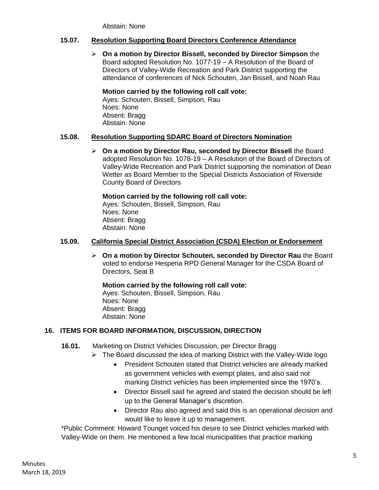Abstain: None

# **15.07. Resolution Supporting Board Directors Conference Attendance**

 **On a motion by Director Bissell, seconded by Director Simpson** the Board adopted Resolution No. 1077-19 – A Resolution of the Board of Directors of Valley-Wide Recreation and Park District supporting the attendance of conferences of Nick Schouten, Jan Bissell, and Noah Rau

# **Motion carried by the following roll call vote:**

Ayes: Schouten, Bissell, Simpson, Rau Noes: None Absent: Bragg Abstain: None

# **15.08. Resolution Supporting SDARC Board of Directors Nomination**

 **On a motion by Director Rau, seconded by Director Bissell** the Board adopted Resolution No. 1078-19 – A Resolution of the Board of Directors of Valley-Wide Recreation and Park District supporting the nomination of Dean Wetter as Board Member to the Special Districts Association of Riverside County Board of Directors

**Motion carried by the following roll call vote:** Ayes: Schouten, Bissell, Simpson, Rau Noes: None

Absent: Bragg Abstain: None

# **15.09. California Special District Association (CSDA) Election or Endorsement**

 **On a motion by Director Schouten, seconded by Director Rau** the Board voted to endorse Hesperia RPD General Manager for the CSDA Board of Directors, Seat B

**Motion carried by the following roll call vote:** Ayes: Schouten, Bissell, Simpson, Rau Noes: None Absent: Bragg Abstain: None

# **16. ITEMS FOR BOARD INFORMATION, DISCUSSION, DIRECTION**

- **16.01.** Marketing on District Vehicles Discussion, per Director Bragg
	- $\triangleright$  The Board discussed the idea of marking District with the Valley-Wide logo
		- President Schouten stated that District vehicles are already marked as government vehicles with exempt plates, and also said not marking District vehicles has been implemented since the 1970's.
		- Director Bissell said he agreed and stated the decision should be left up to the General Manager's discretion.
		- Director Rau also agreed and said this is an operational decision and would like to leave it up to management.

\*Public Comment: Howard Tounget voiced his desire to see District vehicles marked with Valley-Wide on them. He mentioned a few local municipalities that practice marking